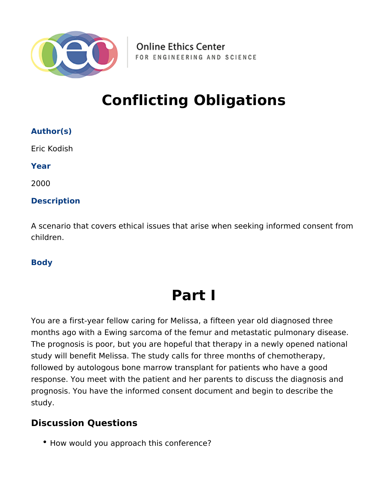

**Online Ethics Center** FOR ENGINEERING AND SCIENCE

## **Conflicting Obligations**

| <b>Author(s)</b>                                                                                 |
|--------------------------------------------------------------------------------------------------|
| Eric Kodish                                                                                      |
| Year                                                                                             |
| 2000                                                                                             |
| <b>Description</b>                                                                               |
| A scenario that covers ethical issues that arise when seeking informed consent from<br>children. |

#### **Body**

# **Part I**

You are a first-year fellow caring for Melissa, a fifteen year old diagnosed three months ago with a Ewing sarcoma of the femur and metastatic pulmonary disease. The prognosis is poor, but you are hopeful that therapy in a newly opened national study will benefit Melissa. The study calls for three months of chemotherapy, followed by autologous bone marrow transplant for patients who have a good response. You meet with the patient and her parents to discuss the diagnosis and prognosis. You have the informed consent document and begin to describe the study.

### **Discussion Questions**

• How would you approach this conference?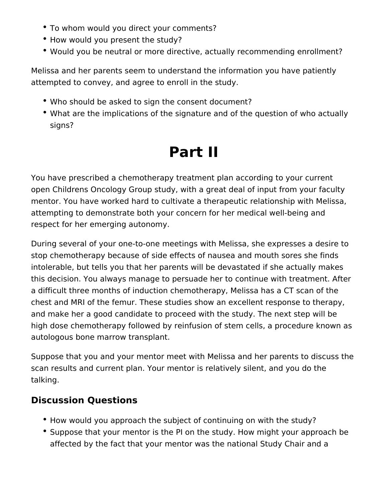- To whom would you direct your comments?
- How would you present the study?
- Would you be neutral or more directive, actually recommending enrollment?

Melissa and her parents seem to understand the information you have patiently attempted to convey, and agree to enroll in the study.

- Who should be asked to sign the consent document?
- What are the implications of the signature and of the question of who actually signs?

# **Part II**

You have prescribed a chemotherapy treatment plan according to your current open Childrens Oncology Group study, with a great deal of input from your faculty mentor. You have worked hard to cultivate a therapeutic relationship with Melissa, attempting to demonstrate both your concern for her medical well-being and respect for her emerging autonomy.

During several of your one-to-one meetings with Melissa, she expresses a desire to stop chemotherapy because of side effects of nausea and mouth sores she finds intolerable, but tells you that her parents will be devastated if she actually makes this decision. You always manage to persuade her to continue with treatment. After a difficult three months of induction chemotherapy, Melissa has a CT scan of the chest and MRI of the femur. These studies show an excellent response to therapy, and make her a good candidate to proceed with the study. The next step will be high dose chemotherapy followed by reinfusion of stem cells, a procedure known as autologous bone marrow transplant.

Suppose that you and your mentor meet with Melissa and her parents to discuss the scan results and current plan. Your mentor is relatively silent, and you do the talking.

## **Discussion Questions**

- How would you approach the subject of continuing on with the study?
- Suppose that your mentor is the PI on the study. How might your approach be affected by the fact that your mentor was the national Study Chair and a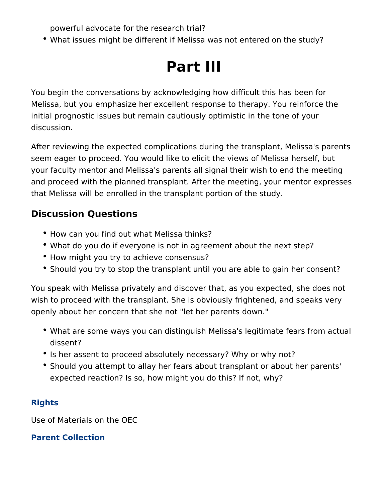powerful advocate for the research trial?

What issues might be different if Melissa was not entered on the study?

## **Part III**

You begin the conversations by acknowledging how difficult this has been for Melissa, but you emphasize her excellent response to therapy. You reinforce the initial prognostic issues but remain cautiously optimistic in the tone of your discussion.

After reviewing the expected complications during the transplant, Melissa's parents seem eager to proceed. You would like to elicit the views of Melissa herself, but your faculty mentor and Melissa's parents all signal their wish to end the meeting and proceed with the planned transplant. After the meeting, your mentor expresses that Melissa will be enrolled in the transplant portion of the study.

## **Discussion Questions**

- How can you find out what Melissa thinks?
- What do you do if everyone is not in agreement about the next step?
- How might you try to achieve consensus?
- Should you try to stop the transplant until you are able to gain her consent?

You speak with Melissa privately and discover that, as you expected, she does not wish to proceed with the transplant. She is obviously frightened, and speaks very openly about her concern that she not "let her parents down."

- What are some ways you can distinguish Melissa's legitimate fears from actual dissent?
- Is her assent to proceed absolutely necessary? Why or why not?
- Should you attempt to allay her fears about transplant or about her parents' expected reaction? Is so, how might you do this? If not, why?

### **Rights**

Use of Materials on the OEC

#### **Parent Collection**